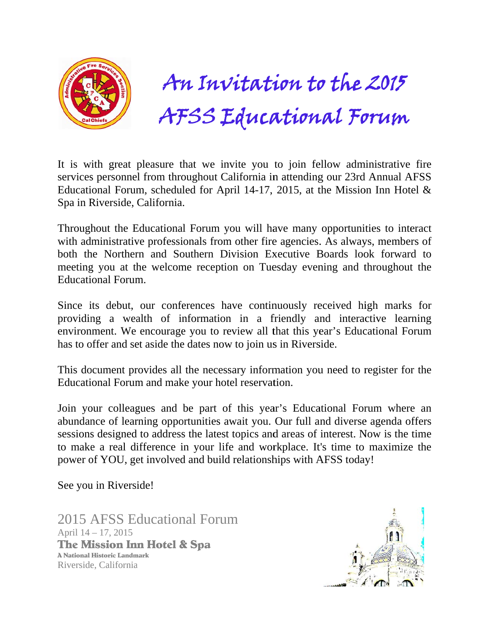

# AFSS Educational Forum  $n$  Invitation to the 2015  $\,$

It is with great pleasure that we invite you to join fellow administrative fire services personnel from throughout California in attending our 23rd Annual AFSS Educational Forum, scheduled for April 14-17, 2015, at the Mission Inn Hotel  $\&$ Spa in R Riverside, California .

Throughout the Educational Forum you will have many opportunities to interact with administrative professionals from other fire agencies. As always, members of both the Northern and Southern Division Executive Boards look forward to meeting you at the welcome reception on Tuesday evening and throughout the Educational Forum. **APPERTURER**<br>
pleasure tha<br>
el from throu<sub>3</sub><br>
california.<br>
Educational F<br>
ve profession<br>
rm and Sout<br>
the welcome<br>
um.<br>
our confere<br>
ealth of info<br>
encourage y<br>
et aside the d<br>
rrovides all th<br>
im and make<br>
gues and be<br>
ri **Vitati**<br> **Educa**<br>
invite you to<br>
california in<br>
April 14-17, 2<br>
you will have mother fire<br>
Division Exerction on Tues<br>
have continu<br>
on in a fril review all th<br>
ow to join us<br>
essary inform<br>
otel reservati<br>
of this year<br>

Since its debut, our conferences have continuously received high marks for providing a wealth of information in a friendly and interactive learning environment. We encourage you to review all that this year's Educational Forum has to offer and set aside the dates now to join us in Riverside.

This document provides all the necessary information you need to register for the Educational Forum and make your hotel reservation.

Join your colleagues and be part of this year's Educational Forum where an abundance of learning opportunities await you. Our full and diverse agenda offers sessions designed to address the latest topics and areas of interest. Now is the time to make a real difference in your life and workplace. It's time to maximize the power of YOU, get involved and build relationships with AFSS today!

See you in Riverside!

2015 AFSS Educational Forum April 14 – 17, 2015 The Mission Inn Hotel & Spa A National Historic Landm mark Riverside, California

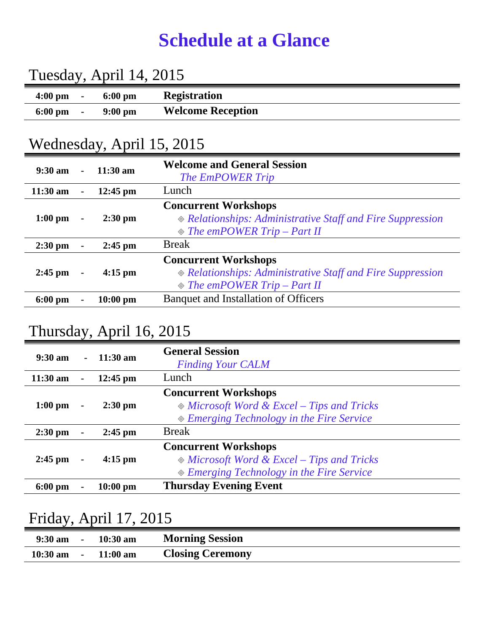### **Schedule at a Glance**

| Tuesday, April 14, 2015 |  |                   |                          |  |
|-------------------------|--|-------------------|--------------------------|--|
| $4:00 \text{ pm}$ -     |  | $6:00 \text{ pm}$ | <b>Registration</b>      |  |
| $6:00 \text{ pm}$ -     |  | 9:00 pm           | <b>Welcome Reception</b> |  |

#### Wednesday, April 15, 2015

| $9:30 \text{ am}$ | $\sim$         | $11:30 \text{ am}$ | <b>Welcome and General Session</b><br><b>The EmPOWER Trip</b>                                                                      |
|-------------------|----------------|--------------------|------------------------------------------------------------------------------------------------------------------------------------|
| $11:30$ am        | $\blacksquare$ | $12:45$ pm         | Lunch                                                                                                                              |
| $1:00 \text{ pm}$ | $\blacksquare$ | $2:30$ pm          | <b>Concurrent Workshops</b><br>◈ Relationships: Administrative Staff and Fire Suppression<br>$\Diamond$ The emPOWER Trip – Part II |
| $2:30$ pm         | $\blacksquare$ | $2:45$ pm          | <b>Break</b>                                                                                                                       |
| $2:45$ pm         | $\blacksquare$ | $4:15 \text{ pm}$  | <b>Concurrent Workshops</b><br>◈ Relationships: Administrative Staff and Fire Suppression<br>$\Diamond$ The emPOWER Trip – Part II |
| $6:00 \text{ pm}$ |                | $10:00$ pm         | Banquet and Installation of Officers                                                                                               |

#### Thursday, April 16, 2015

| $9:30 \text{ am}$ |                | $-11:30 \text{ am}$ | <b>General Session</b><br><b>Finding Your CALM</b>                                                                           |
|-------------------|----------------|---------------------|------------------------------------------------------------------------------------------------------------------------------|
| $11:30$ am        | $\blacksquare$ | $12:45$ pm          | Lunch                                                                                                                        |
| $1:00$ pm         | $\blacksquare$ | $2:30$ pm           | <b>Concurrent Workshops</b><br>$\&$ Microsoft Word & Excel – Tips and Tricks<br>$\&$ Emerging Technology in the Fire Service |
| $2:30$ pm         | $\blacksquare$ | $2:45$ pm           | <b>Break</b>                                                                                                                 |
| $2:45$ pm         | $\blacksquare$ | $4:15$ pm           | <b>Concurrent Workshops</b><br>$\&$ Microsoft Word & Excel – Tips and Tricks<br>◈ Emerging Technology in the Fire Service    |
| $6:00 \text{ pm}$ |                | $10:00$ pm          | <b>Thursday Evening Event</b>                                                                                                |

#### Friday, April 17, 2015

| $9:30 \text{ am}$ | $\overline{\phantom{a}}$ | $10:30$ am         | <b>Morning Session</b>  |
|-------------------|--------------------------|--------------------|-------------------------|
| $10:30$ am        | $\sim$                   | $11:00 \text{ am}$ | <b>Closing Ceremony</b> |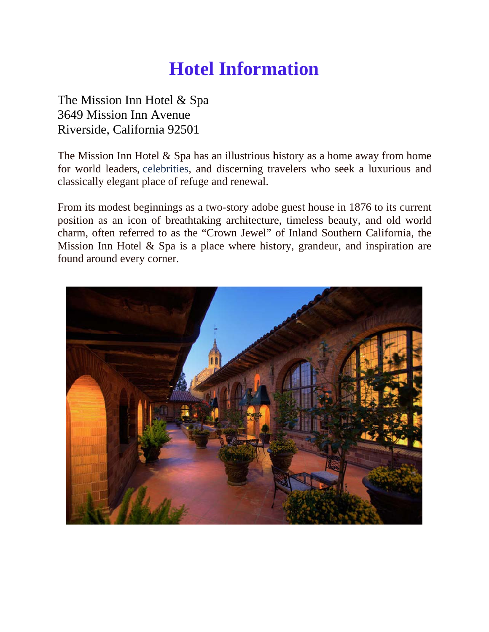## **Hotel Information**

The Mission Inn Hotel & Spa 3649 Mission Inn Avenue Riverside, California 92501

The Mission Inn Hotel  $&$  Spa has an illustrious history as a home away from home for world leaders, celebrities, and discerning travelers who seek a luxurious and classically elegant place of refuge and renewal.

From its modest beginnings as a two-story adobe guest house in 1876 to its current position as an icon of breathtaking architecture, timeless beauty, and old world charm, often referred to as the "Crown Jewel" of Inland Southern California, the Mission Inn Hotel & Spa is a place where history, grandeur, and inspiration are found around every corner.

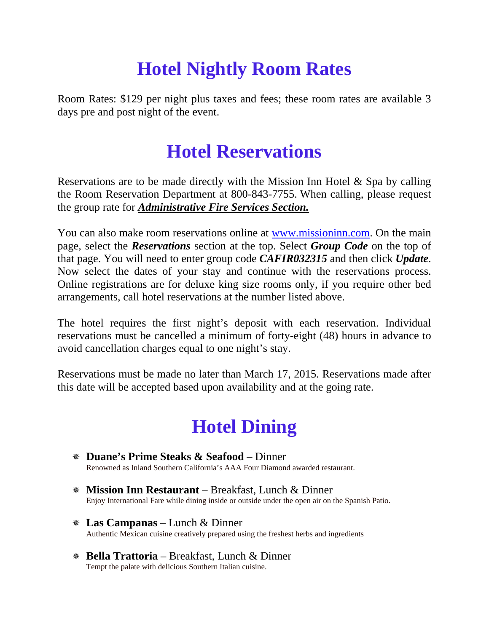# **Hotel Nightly Room Rates**

Room Rates: \$129 per night plus taxes and fees; these room rates are available 3 days pre and post night of the event.

#### **Hotel Reservations**

Reservations are to be made directly with the Mission Inn Hotel & Spa by calling the Room Reservation Department at 800-843-7755. When calling, please request the group rate for *Administrative Fire Services Section.*

You can also make room reservations online at www.missioninn.com. On the main page, select the *Reservations* section at the top. Select *Group Code* on the top of that page. You will need to enter group code *CAFIR032315* and then click *Update*. Now select the dates of your stay and continue with the reservations process. Online registrations are for deluxe king size rooms only, if you require other bed arrangements, call hotel reservations at the number listed above.

The hotel requires the first night's deposit with each reservation. Individual reservations must be cancelled a minimum of forty-eight (48) hours in advance to avoid cancellation charges equal to one night's stay.

Reservations must be made no later than March 17, 2015. Reservations made after this date will be accepted based upon availability and at the going rate.

### **Hotel Dining**

- **Duane's Prime Steaks & Seafood** Dinner Renowned as Inland Southern California's AAA Four Diamond awarded restaurant.
- **Mission Inn Restaurant** Breakfast, Lunch & Dinner Enjoy International Fare while dining inside or outside under the open air on the Spanish Patio.
- **Las Campanas**  Lunch & Dinner Authentic Mexican cuisine creatively prepared using the freshest herbs and ingredients
- **Bella Trattoria**  Breakfast, Lunch & Dinner Tempt the palate with delicious Southern Italian cuisine.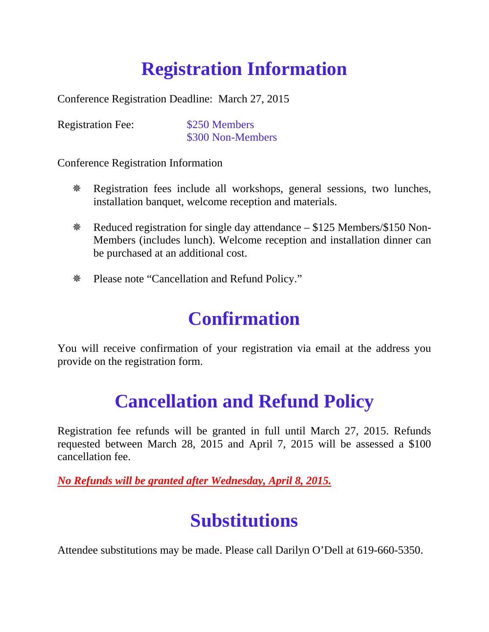# **Registration Information**

Conference Registration Deadline: March 27, 2015

Registration Fee: \$250 Members

\$300 Non-Members

Conference Registration Information

- Registration fees include all workshops, general sessions, two lunches, installation banquet, welcome reception and materials.
- Reduced registration for single day attendance \$125 Members/\$150 Non-Members (includes lunch). Welcome reception and installation dinner can be purchased at an additional cost.
- Please note "Cancellation and Refund Policy."

#### **Confirmation**

You will receive confirmation of your registration via email at the address you provide on the registration form.

### **Cancellation and Refund Policy**

Registration fee refunds will be granted in full until March 27, 2015. Refunds requested between March 28, 2015 and April 7, 2015 will be assessed a \$100 cancellation fee.

*No Refunds will be granted after Wednesday, April 8, 2015.* 

### **Substitutions**

Attendee substitutions may be made. Please call Darilyn O'Dell at 619-660-5350.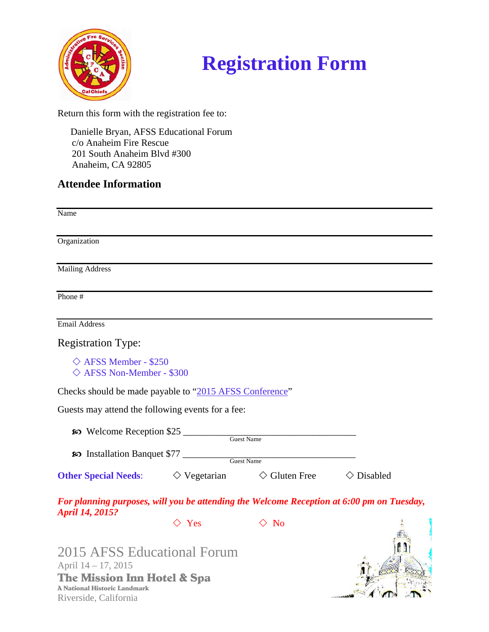

# **Registration Form**

Return this form with the registration fee to:

Danielle Bryan, AFSS Educational Forum c/o Anaheim Fire Rescue 201 South Anaheim Blvd #300 Anaheim, CA 92805

#### **Attendee Information**

Name Organization **Mailing Address** Phone  $#$ **Email Address Registration Type:**  $\Diamond$  AFSS Member - \$250  $\Diamond$  AFSS Non-Member - \$300 Checks should be made payable to "2015 AFSS Conference" Guests may attend the following events for a fee: **EXECUTE:** Welcome Reception \$25 Guest Name **80** Installation Banquet \$77 Guest Name  $\diamond$  Gluten Free  $\Diamond$  Disabled  $\diamond$  Vegetarian **Other Special Needs:** For planning purposes, will you be attending the Welcome Reception at 6:00 pm on Tuesday, **April 14, 2015?**  $\Diamond$  No  $\Diamond$  Yes

2015 AFSS Educational Forum April 14 - 17, 2015 The Mission Inn Hotel & Spa **A National Historic Landmark** Riverside, California